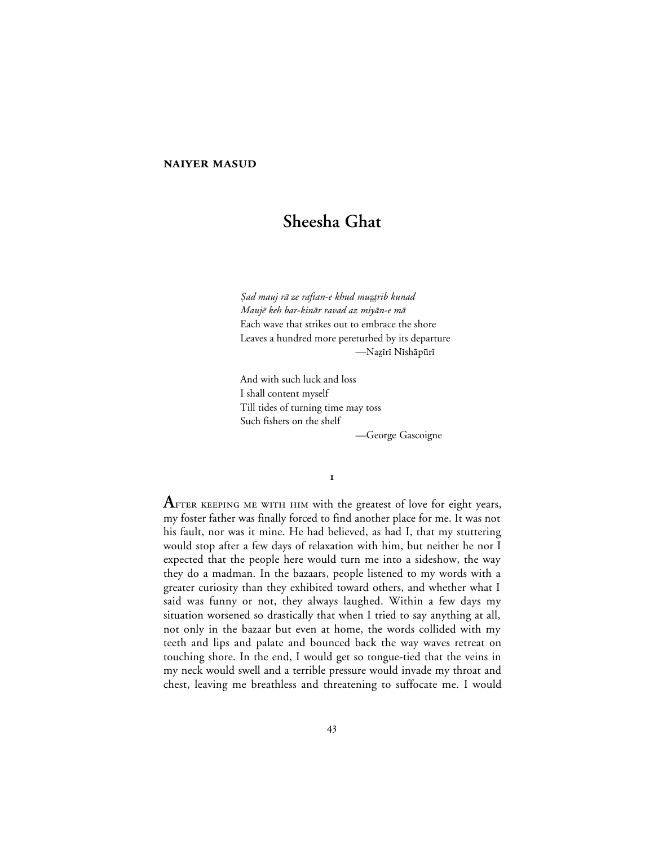# **NAIYER MASUD**

# **Sheesha Ghat**

Şad mauj rā ze raftan-e khud muztrib kunad Maujē keh bar-kinār ravad az miyān-e mā Each wave that strikes out to embrace the shore Leaves a hundred more pereturbed by its departure —Nazīrī Nīshāpūrī

And with such luck and loss I shall content myself Till tides of turning time may toss Such fishers on the shelf

—George Gascoigne

 $\mathbf I$ 

AFTER KEEPING ME WITH HIM with the greatest of love for eight years, my foster father was finally forced to find another place for me. It was not his fault, nor was it mine. He had believed, as had I, that my stuttering would stop after a few days of relaxation with him, but neither he nor I expected that the people here would turn me into a sideshow, the way they do a madman. In the bazaars, people listened to my words with a greater curiosity than they exhibited toward others, and whether what I said was funny or not, they always laughed. Within a few days my situation worsened so drastically that when I tried to say anything at all, not only in the bazaar but even at home, the words collided with my teeth and lips and palate and bounced back the way waves retreat on touching shore. In the end, I would get so tongue-tied that the veins in my neck would swell and a terrible pressure would invade my throat and chest, leaving me breathless and threatening to suffocate me. I would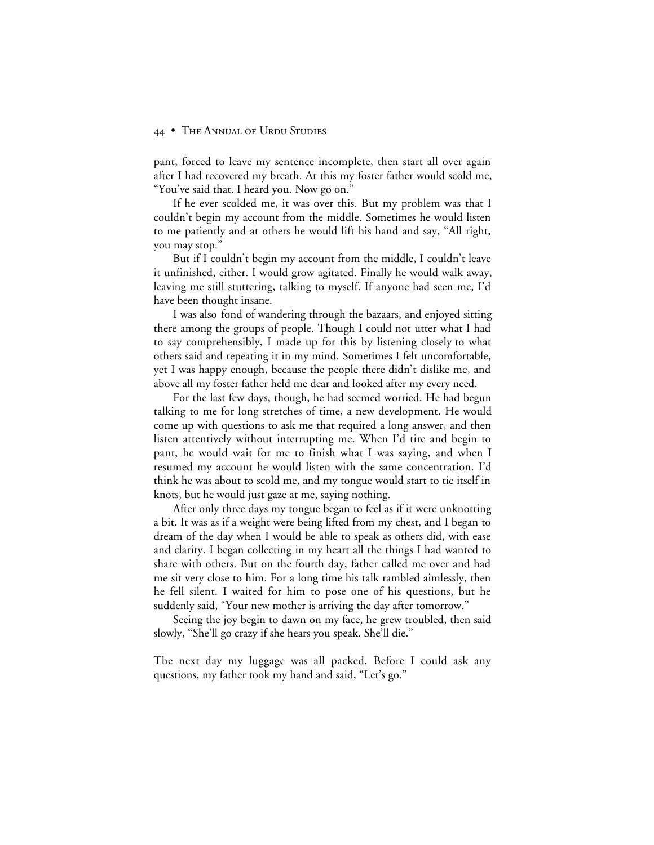pant, forced to leave my sentence incomplete, then start all over again after I had recovered my breath. At this my foster father would scold me, "You've said that. I heard you. Now go on."

If he ever scolded me, it was over this. But my problem was that I couldn't begin my account from the middle. Sometimes he would listen to me patiently and at others he would lift his hand and say, "All right, you may stop."

But if I couldn't begin my account from the middle, I couldn't leave it unfinished, either. I would grow agitated. Finally he would walk away, leaving me still stuttering, talking to myself. If anyone had seen me, I'd have been thought insane.

I was also fond of wandering through the bazaars, and enjoyed sitting there among the groups of people. Though I could not utter what I had to say comprehensibly, I made up for this by listening closely to what others said and repeating it in my mind. Sometimes I felt uncomfortable, yet I was happy enough, because the people there didn't dislike me, and above all my foster father held me dear and looked after my every need.

For the last few days, though, he had seemed worried. He had begun talking to me for long stretches of time, a new development. He would come up with questions to ask me that required a long answer, and then listen attentively without interrupting me. When I'd tire and begin to pant, he would wait for me to finish what I was saying, and when I resumed my account he would listen with the same concentration. I'd think he was about to scold me, and my tongue would start to tie itself in knots, but he would just gaze at me, saying nothing.

After only three days my tongue began to feel as if it were unknotting a bit. It was as if a weight were being lifted from my chest, and I began to dream of the day when I would be able to speak as others did, with ease and clarity. I began collecting in my heart all the things I had wanted to share with others. But on the fourth day, father called me over and had me sit very close to him. For a long time his talk rambled aimlessly, then he fell silent. I waited for him to pose one of his questions, but he suddenly said, "Your new mother is arriving the day after tomorrow."

Seeing the joy begin to dawn on my face, he grew troubled, then said slowly, "She'll go crazy if she hears you speak. She'll die."

The next day my luggage was all packed. Before I could ask any questions, my father took my hand and said, "Let's go."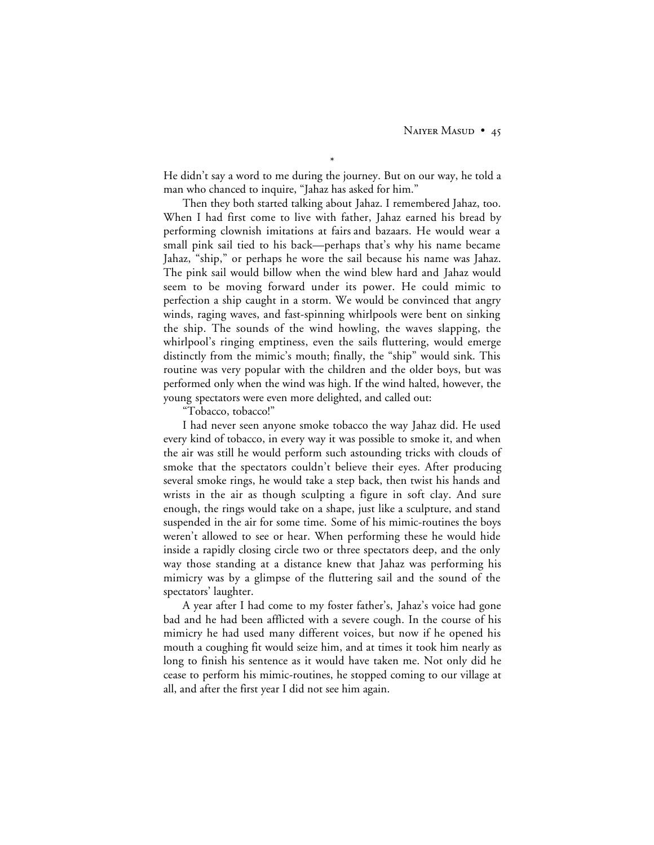\* He didn't say a word to me during the journey. But on our way, he told a man who chanced to inquire, "Jahaz has asked for him."

Then they both started talking about Jahaz. I remembered Jahaz, too. When I had first come to live with father, Jahaz earned his bread by performing clownish imitations at fairs and bazaars. He would wear a small pink sail tied to his back—perhaps that's why his name became Jahaz, "ship," or perhaps he wore the sail because his name was Jahaz. The pink sail would billow when the wind blew hard and Jahaz would seem to be moving forward under its power. He could mimic to perfection a ship caught in a storm. We would be convinced that angry winds, raging waves, and fast-spinning whirlpools were bent on sinking the ship. The sounds of the wind howling, the waves slapping, the whirlpool's ringing emptiness, even the sails fluttering, would emerge distinctly from the mimic's mouth; finally, the "ship" would sink. This routine was very popular with the children and the older boys, but was performed only when the wind was high. If the wind halted, however, the young spectators were even more delighted, and called out:

"Tobacco, tobacco!"

I had never seen anyone smoke tobacco the way Jahaz did. He used every kind of tobacco, in every way it was possible to smoke it, and when the air was still he would perform such astounding tricks with clouds of smoke that the spectators couldn't believe their eyes. After producing several smoke rings, he would take a step back, then twist his hands and wrists in the air as though sculpting a figure in soft clay. And sure enough, the rings would take on a shape, just like a sculpture, and stand suspended in the air for some time. Some of his mimic-routines the boys weren't allowed to see or hear. When performing these he would hide inside a rapidly closing circle two or three spectators deep, and the only way those standing at a distance knew that Jahaz was performing his mimicry was by a glimpse of the fluttering sail and the sound of the spectators' laughter.

A year after I had come to my foster father's, Jahaz's voice had gone bad and he had been afflicted with a severe cough. In the course of his mimicry he had used many different voices, but now if he opened his mouth a coughing fit would seize him, and at times it took him nearly as long to finish his sentence as it would have taken me. Not only did he cease to perform his mimic-routines, he stopped coming to our village at all, and after the first year I did not see him again.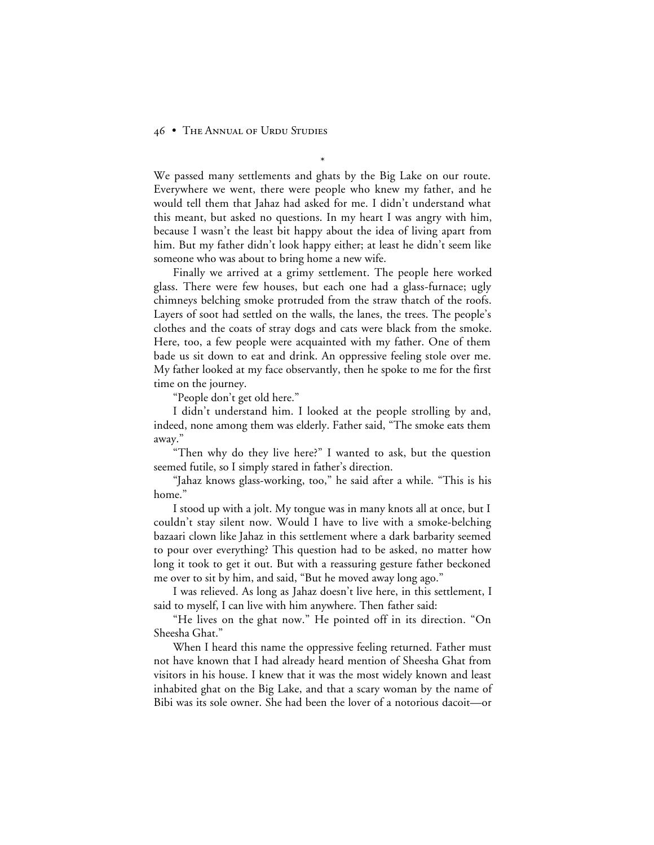We passed many settlements and ghats by the Big Lake on our route. Everywhere we went, there were people who knew my father, and he would tell them that Jahaz had asked for me. I didn't understand what this meant, but asked no questions. In my heart I was angry with him, because I wasn't the least bit happy about the idea of living apart from him. But my father didn't look happy either; at least he didn't seem like someone who was about to bring home a new wife.

\*

Finally we arrived at a grimy settlement. The people here worked glass. There were few houses, but each one had a glass-furnace; ugly chimneys belching smoke protruded from the straw thatch of the roofs. Layers of soot had settled on the walls, the lanes, the trees. The people's clothes and the coats of stray dogs and cats were black from the smoke. Here, too, a few people were acquainted with my father. One of them bade us sit down to eat and drink. An oppressive feeling stole over me. My father looked at my face observantly, then he spoke to me for the first time on the journey.

"People don't get old here."

I didn't understand him. I looked at the people strolling by and, indeed, none among them was elderly. Father said, "The smoke eats them away."

"Then why do they live here?" I wanted to ask, but the question seemed futile, so I simply stared in father's direction.

"Jahaz knows glass-working, too," he said after a while. "This is his home."

I stood up with a jolt. My tongue was in many knots all at once, but I couldn't stay silent now. Would I have to live with a smoke-belching bazaari clown like Jahaz in this settlement where a dark barbarity seemed to pour over everything? This question had to be asked, no matter how long it took to get it out. But with a reassuring gesture father beckoned me over to sit by him, and said, "But he moved away long ago."

I was relieved. As long as Jahaz doesn't live here, in this settlement, I said to myself, I can live with him anywhere. Then father said:

"He lives on the ghat now." He pointed off in its direction. "On Sheesha Ghat."

When I heard this name the oppressive feeling returned. Father must not have known that I had already heard mention of Sheesha Ghat from visitors in his house. I knew that it was the most widely known and least inhabited ghat on the Big Lake, and that a scary woman by the name of Bibi was its sole owner. She had been the lover of a notorious dacoit—or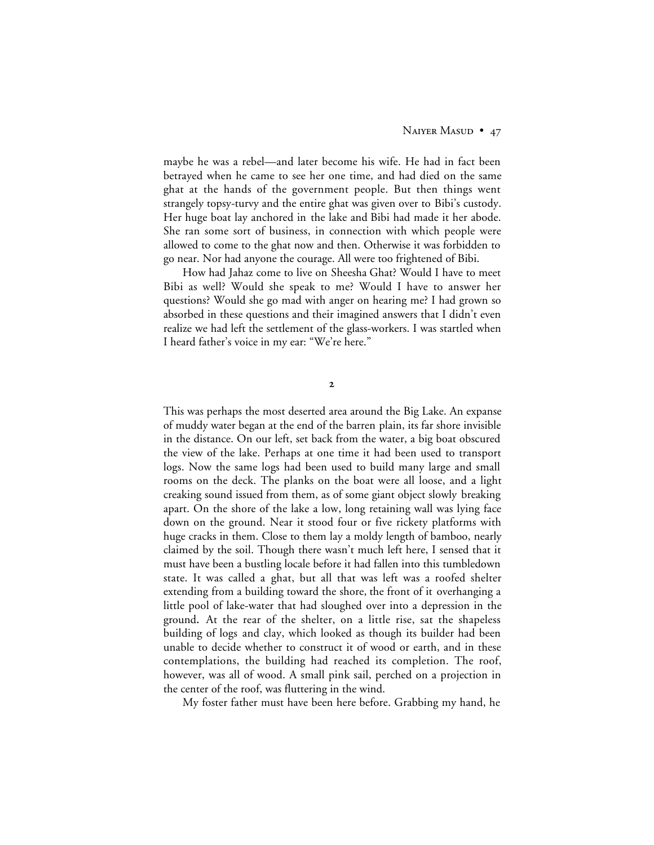maybe he was a rebel—and later become his wife. He had in fact been betrayed when he came to see her one time, and had died on the same ghat at the hands of the government people. But then things went strangely topsy-turvy and the entire ghat was given over to Bibi's custody. Her huge boat lay anchored in the lake and Bibi had made it her abode. She ran some sort of business, in connection with which people were allowed to come to the ghat now and then. Otherwise it was forbidden to go near. Nor had anyone the courage. All were too frightened of Bibi.

How had Jahaz come to live on Sheesha Ghat? Would I have to meet Bibi as well? Would she speak to me? Would I have to answer her questions? Would she go mad with anger on hearing me? I had grown so absorbed in these questions and their imagined answers that I didn't even realize we had left the settlement of the glass-workers. I was startled when I heard father's voice in my ear: "We're here."

 $\overline{2}$ 

This was perhaps the most deserted area around the Big Lake. An expanse of muddy water began at the end of the barren plain, its far shore invisible in the distance. On our left, set back from the water, a big boat obscured the view of the lake. Perhaps at one time it had been used to transport logs. Now the same logs had been used to build many large and small rooms on the deck. The planks on the boat were all loose, and a light creaking sound issued from them, as of some giant object slowly breaking apart. On the shore of the lake a low, long retaining wall was lying face down on the ground. Near it stood four or five rickety platforms with huge cracks in them. Close to them lay a moldy length of bamboo, nearly claimed by the soil. Though there wasn't much left here, I sensed that it must have been a bustling locale before it had fallen into this tumbledown state. It was called a ghat, but all that was left was a roofed shelter extending from a building toward the shore, the front of it overhanging a little pool of lake-water that had sloughed over into a depression in the ground**.** At the rear of the shelter, on a little rise, sat the shapeless building of logs and clay, which looked as though its builder had been unable to decide whether to construct it of wood or earth, and in these contemplations, the building had reached its completion. The roof, however, was all of wood. A small pink sail, perched on a projection in the center of the roof, was fluttering in the wind.

My foster father must have been here before. Grabbing my hand, he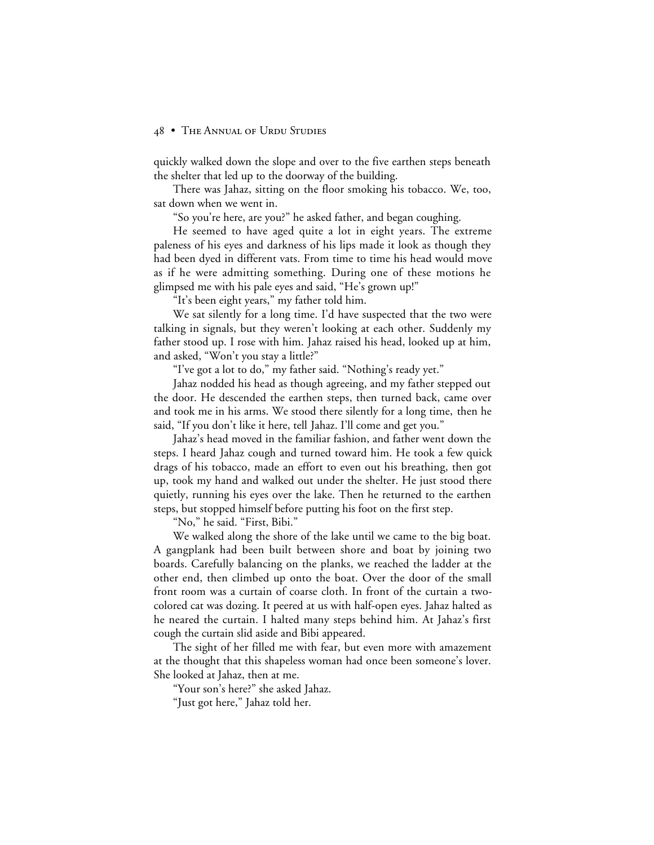quickly walked down the slope and over to the five earthen steps beneath the shelter that led up to the doorway of the building.

There was Jahaz, sitting on the floor smoking his tobacco. We, too, sat down when we went in.

"So you're here, are you?" he asked father, and began coughing.

He seemed to have aged quite a lot in eight years. The extreme paleness of his eyes and darkness of his lips made it look as though they had been dyed in different vats. From time to time his head would move as if he were admitting something. During one of these motions he glimpsed me with his pale eyes and said, "He's grown up!"

"It's been eight years," my father told him.

We sat silently for a long time. I'd have suspected that the two were talking in signals, but they weren't looking at each other. Suddenly my father stood up. I rose with him. Jahaz raised his head, looked up at him, and asked, "Won't you stay a little?"

"I've got a lot to do," my father said. "Nothing's ready yet."

Jahaz nodded his head as though agreeing, and my father stepped out the door. He descended the earthen steps, then turned back, came over and took me in his arms. We stood there silently for a long time, then he said, "If you don't like it here, tell Jahaz. I'll come and get you."

Jahaz's head moved in the familiar fashion, and father went down the steps. I heard Jahaz cough and turned toward him. He took a few quick drags of his tobacco, made an effort to even out his breathing, then got up, took my hand and walked out under the shelter. He just stood there quietly, running his eyes over the lake. Then he returned to the earthen steps, but stopped himself before putting his foot on the first step.

"No," he said. "First, Bibi."

We walked along the shore of the lake until we came to the big boat. A gangplank had been built between shore and boat by joining two boards. Carefully balancing on the planks, we reached the ladder at the other end, then climbed up onto the boat. Over the door of the small front room was a curtain of coarse cloth. In front of the curtain a twocolored cat was dozing. It peered at us with half-open eyes. Jahaz halted as he neared the curtain. I halted many steps behind him. At Jahaz's first cough the curtain slid aside and Bibi appeared.

The sight of her filled me with fear, but even more with amazement at the thought that this shapeless woman had once been someone's lover. She looked at Jahaz, then at me.

"Your son's here?" she asked Jahaz.

"Just got here," Jahaz told her.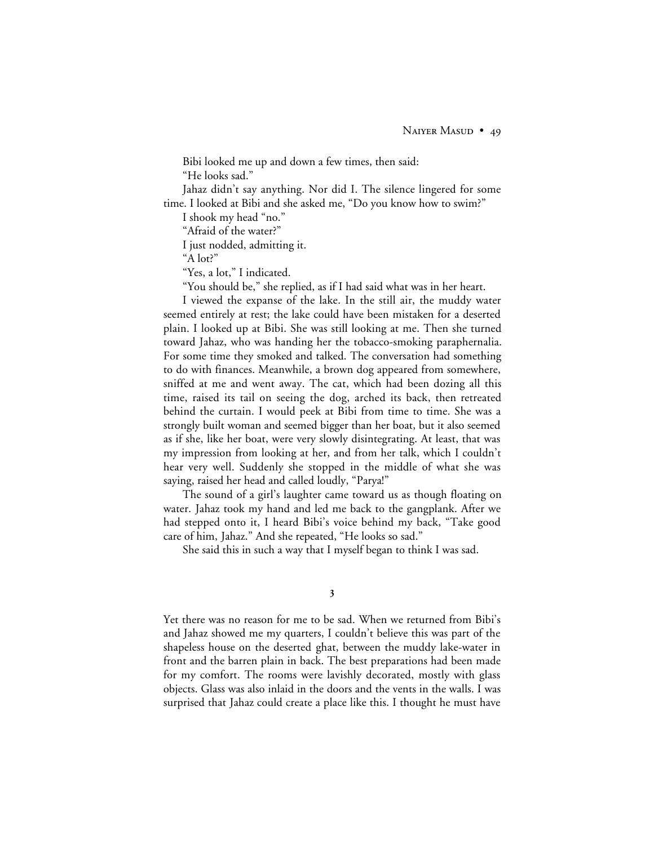Bibi looked me up and down a few times, then said: "He looks sad."

Jahaz didn't say anything. Nor did I. The silence lingered for some time. I looked at Bibi and she asked me, "Do you know how to swim?"

I shook my head "no."

"Afraid of the water?"

I just nodded, admitting it.

"A lot?"

"Yes, a lot," I indicated.

"You should be," she replied, as if I had said what was in her heart.

I viewed the expanse of the lake. In the still air, the muddy water seemed entirely at rest; the lake could have been mistaken for a deserted plain. I looked up at Bibi. She was still looking at me. Then she turned toward Jahaz, who was handing her the tobacco-smoking paraphernalia. For some time they smoked and talked. The conversation had something to do with finances. Meanwhile, a brown dog appeared from somewhere, sniffed at me and went away. The cat, which had been dozing all this time, raised its tail on seeing the dog, arched its back, then retreated behind the curtain. I would peek at Bibi from time to time. She was a strongly built woman and seemed bigger than her boat, but it also seemed as if she, like her boat, were very slowly disintegrating. At least, that was my impression from looking at her, and from her talk, which I couldn't hear very well. Suddenly she stopped in the middle of what she was saying, raised her head and called loudly, "Parya!"

The sound of a girl's laughter came toward us as though floating on water. Jahaz took my hand and led me back to the gangplank. After we had stepped onto it, I heard Bibi's voice behind my back, "Take good care of him, Jahaz." And she repeated, "He looks so sad."

She said this in such a way that I myself began to think I was sad.

## 3

Yet there was no reason for me to be sad. When we returned from Bibi's and Jahaz showed me my quarters, I couldn't believe this was part of the shapeless house on the deserted ghat, between the muddy lake-water in front and the barren plain in back. The best preparations had been made for my comfort. The rooms were lavishly decorated, mostly with glass objects. Glass was also inlaid in the doors and the vents in the walls. I was surprised that Jahaz could create a place like this. I thought he must have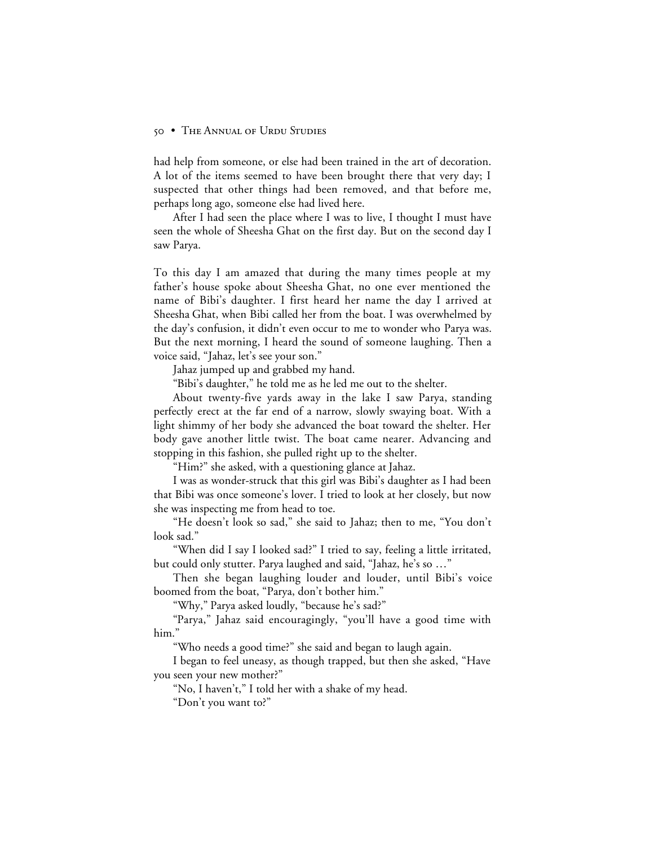had help from someone, or else had been trained in the art of decoration. A lot of the items seemed to have been brought there that very day; I suspected that other things had been removed, and that before me, perhaps long ago, someone else had lived here.

After I had seen the place where I was to live, I thought I must have seen the whole of Sheesha Ghat on the first day. But on the second day I saw Parya.

To this day I am amazed that during the many times people at my father's house spoke about Sheesha Ghat, no one ever mentioned the name of Bibi's daughter. I first heard her name the day I arrived at Sheesha Ghat, when Bibi called her from the boat. I was overwhelmed by the day's confusion, it didn't even occur to me to wonder who Parya was. But the next morning, I heard the sound of someone laughing. Then a voice said, "Jahaz, let's see your son."

Jahaz jumped up and grabbed my hand.

"Bibi's daughter," he told me as he led me out to the shelter.

About twenty-five yards away in the lake I saw Parya, standing perfectly erect at the far end of a narrow, slowly swaying boat. With a light shimmy of her body she advanced the boat toward the shelter. Her body gave another little twist. The boat came nearer. Advancing and stopping in this fashion, she pulled right up to the shelter.

"Him?" she asked, with a questioning glance at Jahaz.

I was as wonder-struck that this girl was Bibi's daughter as I had been that Bibi was once someone's lover. I tried to look at her closely, but now she was inspecting me from head to toe.

"He doesn't look so sad," she said to Jahaz; then to me, "You don't look sad."

"When did I say I looked sad?" I tried to say, feeling a little irritated, but could only stutter. Parya laughed and said, "Jahaz, he's so …"

Then she began laughing louder and louder, until Bibi's voice boomed from the boat, "Parya, don't bother him."

"Why," Parya asked loudly, "because he's sad?"

"Parya," Jahaz said encouragingly, "you'll have a good time with him."

"Who needs a good time?" she said and began to laugh again.

I began to feel uneasy, as though trapped, but then she asked, "Have you seen your new mother?"

"No, I haven't," I told her with a shake of my head.

"Don't you want to?"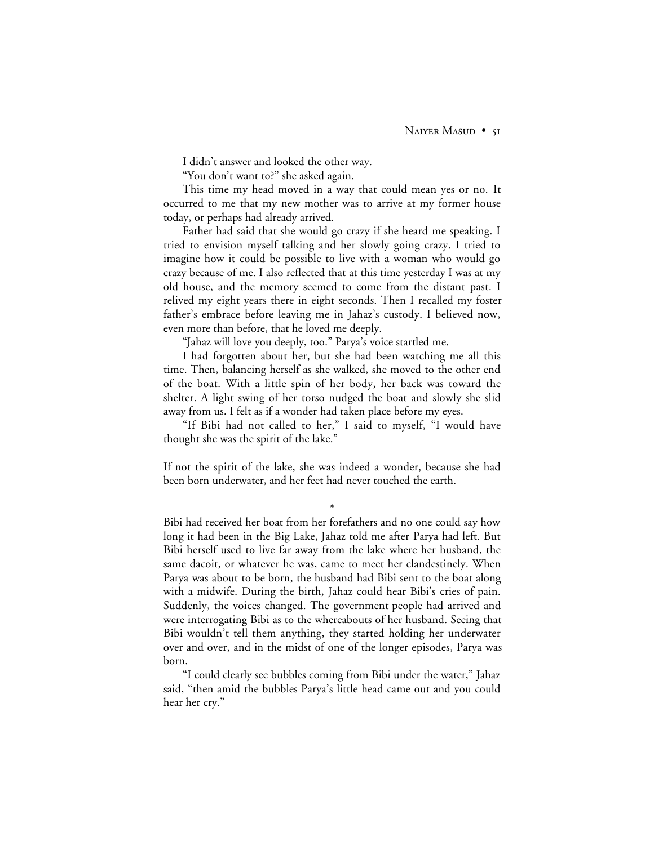I didn't answer and looked the other way.

"You don't want to?" she asked again.

This time my head moved in a way that could mean yes or no. It occurred to me that my new mother was to arrive at my former house today, or perhaps had already arrived.

Father had said that she would go crazy if she heard me speaking. I tried to envision myself talking and her slowly going crazy. I tried to imagine how it could be possible to live with a woman who would go crazy because of me. I also reflected that at this time yesterday I was at my old house, and the memory seemed to come from the distant past. I relived my eight years there in eight seconds. Then I recalled my foster father's embrace before leaving me in Jahaz's custody. I believed now, even more than before, that he loved me deeply.

"Jahaz will love you deeply, too." Parya's voice startled me.

I had forgotten about her, but she had been watching me all this time. Then, balancing herself as she walked, she moved to the other end of the boat. With a little spin of her body, her back was toward the shelter. A light swing of her torso nudged the boat and slowly she slid away from us. I felt as if a wonder had taken place before my eyes.

"If Bibi had not called to her," I said to myself, "I would have thought she was the spirit of the lake."

If not the spirit of the lake, she was indeed a wonder, because she had been born underwater, and her feet had never touched the earth.

\*

Bibi had received her boat from her forefathers and no one could say how long it had been in the Big Lake, Jahaz told me after Parya had left. But Bibi herself used to live far away from the lake where her husband, the same dacoit, or whatever he was, came to meet her clandestinely. When Parya was about to be born, the husband had Bibi sent to the boat along with a midwife. During the birth, Jahaz could hear Bibi's cries of pain. Suddenly, the voices changed. The government people had arrived and were interrogating Bibi as to the whereabouts of her husband. Seeing that Bibi wouldn't tell them anything, they started holding her underwater over and over, and in the midst of one of the longer episodes, Parya was born.

"I could clearly see bubbles coming from Bibi under the water," Jahaz said, "then amid the bubbles Parya's little head came out and you could hear her cry."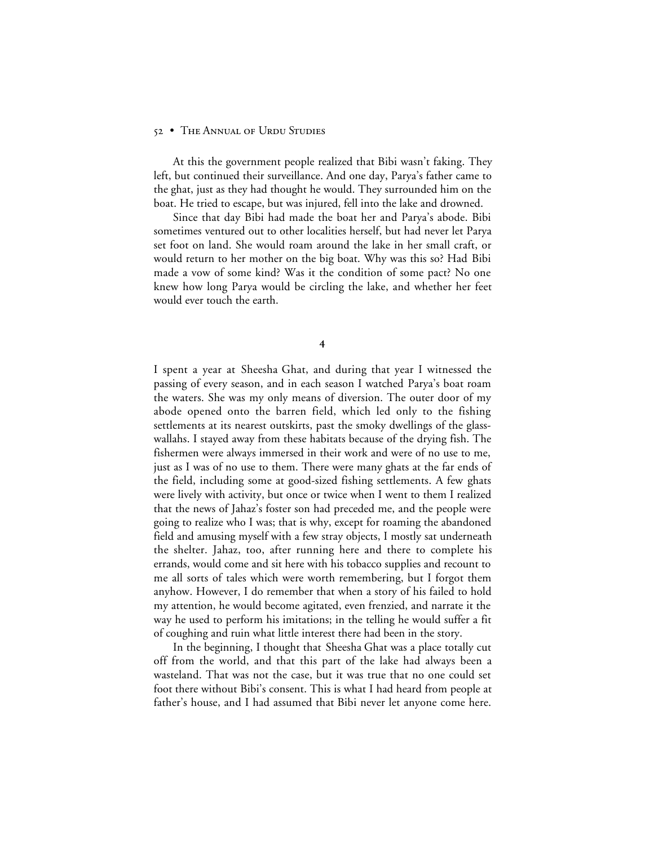At this the government people realized that Bibi wasn't faking. They left, but continued their surveillance. And one day, Parya's father came to the ghat, just as they had thought he would. They surrounded him on the boat. He tried to escape, but was injured, fell into the lake and drowned.

Since that day Bibi had made the boat her and Parya's abode. Bibi sometimes ventured out to other localities herself, but had never let Parya set foot on land. She would roam around the lake in her small craft, or would return to her mother on the big boat. Why was this so? Had Bibi made a vow of some kind? Was it the condition of some pact? No one knew how long Parya would be circling the lake, and whether her feet would ever touch the earth.

 $\overline{4}$ 

I spent a year at Sheesha Ghat, and during that year I witnessed the passing of every season, and in each season I watched Parya's boat roam the waters. She was my only means of diversion. The outer door of my abode opened onto the barren field, which led only to the fishing settlements at its nearest outskirts, past the smoky dwellings of the glasswallahs. I stayed away from these habitats because of the drying fish. The fishermen were always immersed in their work and were of no use to me, just as I was of no use to them. There were many ghats at the far ends of the field, including some at good-sized fishing settlements. A few ghats were lively with activity, but once or twice when I went to them I realized that the news of Jahaz's foster son had preceded me, and the people were going to realize who I was; that is why, except for roaming the abandoned field and amusing myself with a few stray objects, I mostly sat underneath the shelter. Jahaz, too, after running here and there to complete his errands, would come and sit here with his tobacco supplies and recount to me all sorts of tales which were worth remembering, but I forgot them anyhow. However, I do remember that when a story of his failed to hold my attention, he would become agitated, even frenzied, and narrate it the way he used to perform his imitations; in the telling he would suffer a fit of coughing and ruin what little interest there had been in the story.

In the beginning, I thought that Sheesha Ghat was a place totally cut off from the world, and that this part of the lake had always been a wasteland. That was not the case, but it was true that no one could set foot there without Bibi's consent. This is what I had heard from people at father's house, and I had assumed that Bibi never let anyone come here.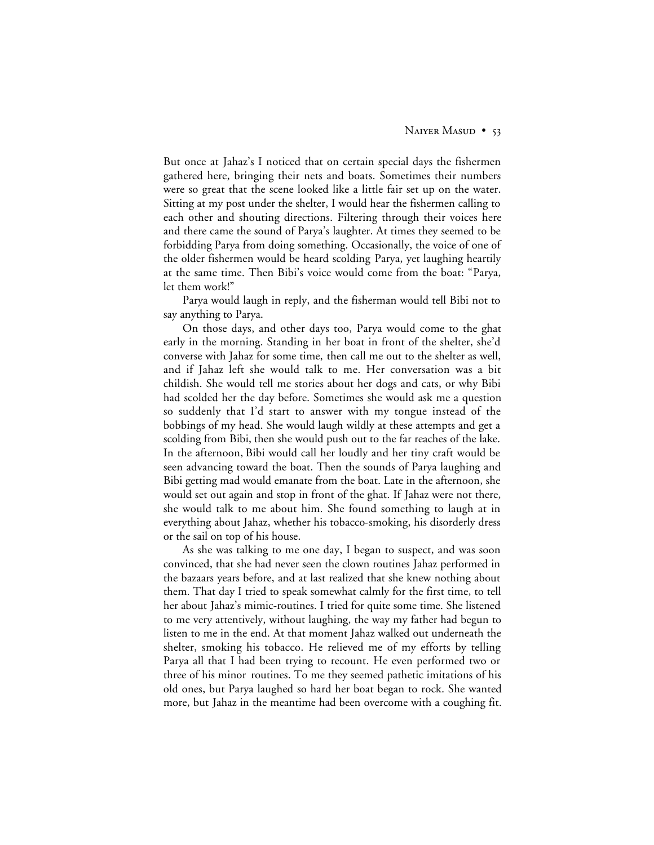But once at Jahaz's I noticed that on certain special days the fishermen gathered here, bringing their nets and boats. Sometimes their numbers were so great that the scene looked like a little fair set up on the water. Sitting at my post under the shelter, I would hear the fishermen calling to each other and shouting directions. Filtering through their voices here and there came the sound of Parya's laughter. At times they seemed to be forbidding Parya from doing something. Occasionally, the voice of one of the older fishermen would be heard scolding Parya, yet laughing heartily at the same time. Then Bibi's voice would come from the boat: "Parya, let them work!"

Parya would laugh in reply, and the fisherman would tell Bibi not to say anything to Parya.

On those days, and other days too, Parya would come to the ghat early in the morning. Standing in her boat in front of the shelter, she'd converse with Jahaz for some time, then call me out to the shelter as well, and if Jahaz left she would talk to me. Her conversation was a bit childish. She would tell me stories about her dogs and cats, or why Bibi had scolded her the day before. Sometimes she would ask me a question so suddenly that I'd start to answer with my tongue instead of the bobbings of my head. She would laugh wildly at these attempts and get a scolding from Bibi, then she would push out to the far reaches of the lake. In the afternoon, Bibi would call her loudly and her tiny craft would be seen advancing toward the boat. Then the sounds of Parya laughing and Bibi getting mad would emanate from the boat. Late in the afternoon, she would set out again and stop in front of the ghat. If Jahaz were not there, she would talk to me about him. She found something to laugh at in everything about Jahaz, whether his tobacco-smoking, his disorderly dress or the sail on top of his house.

As she was talking to me one day, I began to suspect, and was soon convinced, that she had never seen the clown routines Jahaz performed in the bazaars years before, and at last realized that she knew nothing about them. That day I tried to speak somewhat calmly for the first time, to tell her about Jahaz's mimic-routines. I tried for quite some time. She listened to me very attentively, without laughing, the way my father had begun to listen to me in the end. At that moment Jahaz walked out underneath the shelter, smoking his tobacco. He relieved me of my efforts by telling Parya all that I had been trying to recount. He even performed two or three of his minor routines. To me they seemed pathetic imitations of his old ones, but Parya laughed so hard her boat began to rock. She wanted more, but Jahaz in the meantime had been overcome with a coughing fit.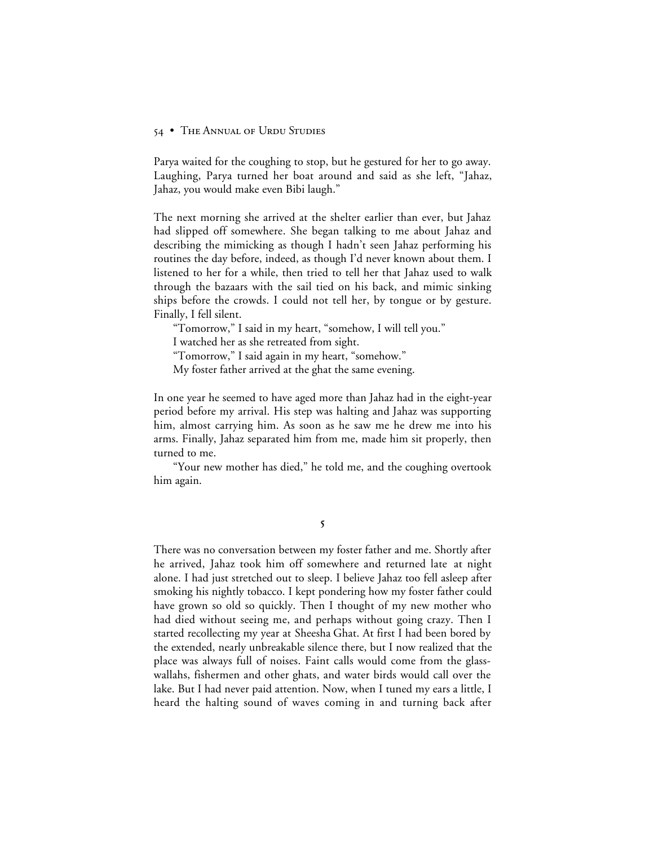Parya waited for the coughing to stop, but he gestured for her to go away. Laughing, Parya turned her boat around and said as she left, "Jahaz, Jahaz, you would make even Bibi laugh."

The next morning she arrived at the shelter earlier than ever, but Jahaz had slipped off somewhere. She began talking to me about Jahaz and describing the mimicking as though I hadn't seen Jahaz performing his routines the day before, indeed, as though I'd never known about them. I listened to her for a while, then tried to tell her that Jahaz used to walk through the bazaars with the sail tied on his back, and mimic sinking ships before the crowds. I could not tell her, by tongue or by gesture. Finally, I fell silent.

"Tomorrow," I said in my heart, "somehow, I will tell you."

I watched her as she retreated from sight.

"Tomorrow," I said again in my heart, "somehow."

My foster father arrived at the ghat the same evening.

In one year he seemed to have aged more than Jahaz had in the eight-year period before my arrival. His step was halting and Jahaz was supporting him, almost carrying him. As soon as he saw me he drew me into his arms. Finally, Jahaz separated him from me, made him sit properly, then turned to me.

"Your new mother has died," he told me, and the coughing overtook him again.

5

There was no conversation between my foster father and me. Shortly after he arrived, Jahaz took him off somewhere and returned late at night alone. I had just stretched out to sleep. I believe Jahaz too fell asleep after smoking his nightly tobacco. I kept pondering how my foster father could have grown so old so quickly. Then I thought of my new mother who had died without seeing me, and perhaps without going crazy. Then I started recollecting my year at Sheesha Ghat. At first I had been bored by the extended, nearly unbreakable silence there, but I now realized that the place was always full of noises. Faint calls would come from the glasswallahs, fishermen and other ghats, and water birds would call over the lake. But I had never paid attention. Now, when I tuned my ears a little, I heard the halting sound of waves coming in and turning back after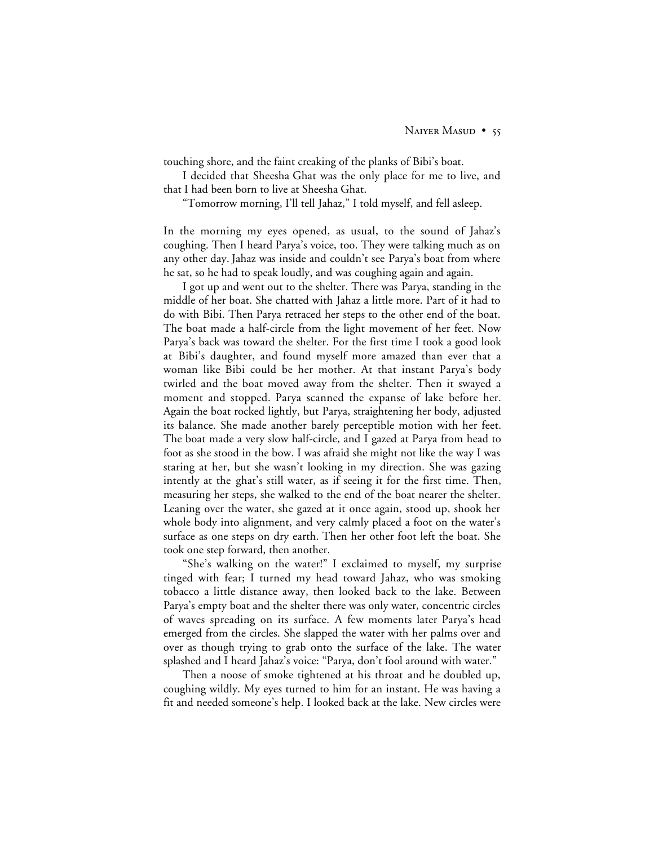touching shore, and the faint creaking of the planks of Bibi's boat.

I decided that Sheesha Ghat was the only place for me to live, and that I had been born to live at Sheesha Ghat.

"Tomorrow morning, I'll tell Jahaz," I told myself, and fell asleep.

In the morning my eyes opened, as usual, to the sound of Jahaz's coughing. Then I heard Parya's voice, too. They were talking much as on any other day. Jahaz was inside and couldn't see Parya's boat from where he sat, so he had to speak loudly, and was coughing again and again.

I got up and went out to the shelter. There was Parya, standing in the middle of her boat. She chatted with Jahaz a little more. Part of it had to do with Bibi. Then Parya retraced her steps to the other end of the boat. The boat made a half-circle from the light movement of her feet. Now Parya's back was toward the shelter. For the first time I took a good look at Bibi's daughter, and found myself more amazed than ever that a woman like Bibi could be her mother. At that instant Parya's body twirled and the boat moved away from the shelter. Then it swayed a moment and stopped. Parya scanned the expanse of lake before her. Again the boat rocked lightly, but Parya, straightening her body, adjusted its balance. She made another barely perceptible motion with her feet. The boat made a very slow half-circle, and I gazed at Parya from head to foot as she stood in the bow. I was afraid she might not like the way I was staring at her, but she wasn't looking in my direction. She was gazing intently at the ghat's still water, as if seeing it for the first time. Then, measuring her steps, she walked to the end of the boat nearer the shelter. Leaning over the water, she gazed at it once again, stood up, shook her whole body into alignment, and very calmly placed a foot on the water's surface as one steps on dry earth. Then her other foot left the boat. She took one step forward, then another.

"She's walking on the water!" I exclaimed to myself, my surprise tinged with fear; I turned my head toward Jahaz, who was smoking tobacco a little distance away, then looked back to the lake. Between Parya's empty boat and the shelter there was only water, concentric circles of waves spreading on its surface. A few moments later Parya's head emerged from the circles. She slapped the water with her palms over and over as though trying to grab onto the surface of the lake. The water splashed and I heard Jahaz's voice: "Parya, don't fool around with water."

Then a noose of smoke tightened at his throat and he doubled up, coughing wildly. My eyes turned to him for an instant. He was having a fit and needed someone's help. I looked back at the lake. New circles were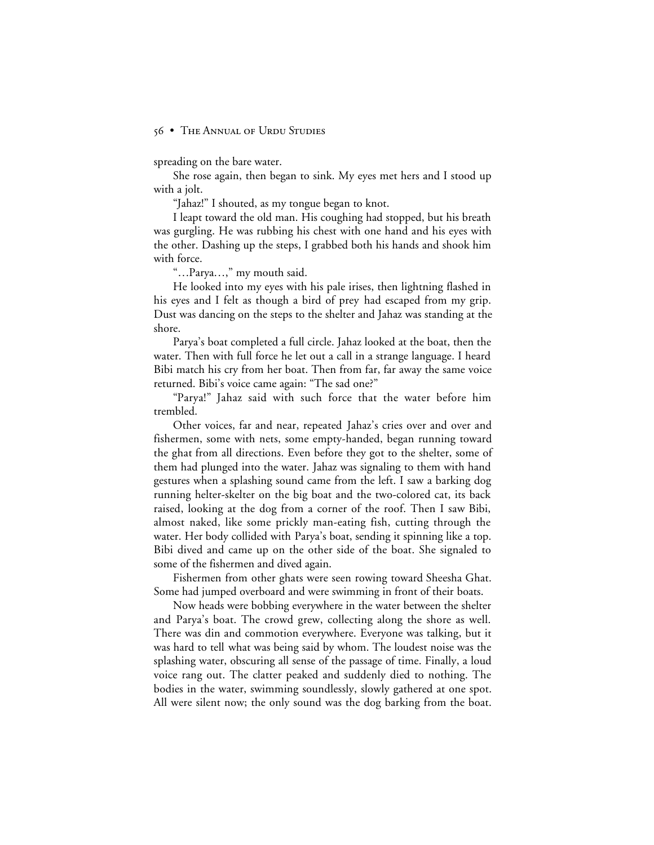spreading on the bare water.

She rose again, then began to sink. My eyes met hers and I stood up with a jolt.

"Jahaz!" I shouted, as my tongue began to knot.

I leapt toward the old man. His coughing had stopped, but his breath was gurgling. He was rubbing his chest with one hand and his eyes with the other. Dashing up the steps, I grabbed both his hands and shook him with force.

"…Parya…," my mouth said.

He looked into my eyes with his pale irises, then lightning flashed in his eyes and I felt as though a bird of prey had escaped from my grip. Dust was dancing on the steps to the shelter and Jahaz was standing at the shore.

Parya's boat completed a full circle. Jahaz looked at the boat, then the water. Then with full force he let out a call in a strange language. I heard Bibi match his cry from her boat. Then from far, far away the same voice returned. Bibi's voice came again: "The sad one?"

"Parya!" Jahaz said with such force that the water before him trembled.

Other voices, far and near, repeated Jahaz's cries over and over and fishermen, some with nets, some empty-handed, began running toward the ghat from all directions. Even before they got to the shelter, some of them had plunged into the water. Jahaz was signaling to them with hand gestures when a splashing sound came from the left. I saw a barking dog running helter-skelter on the big boat and the two-colored cat, its back raised, looking at the dog from a corner of the roof. Then I saw Bibi, almost naked, like some prickly man-eating fish, cutting through the water. Her body collided with Parya's boat, sending it spinning like a top. Bibi dived and came up on the other side of the boat. She signaled to some of the fishermen and dived again.

Fishermen from other ghats were seen rowing toward Sheesha Ghat. Some had jumped overboard and were swimming in front of their boats.

Now heads were bobbing everywhere in the water between the shelter and Parya's boat. The crowd grew, collecting along the shore as well. There was din and commotion everywhere. Everyone was talking, but it was hard to tell what was being said by whom. The loudest noise was the splashing water, obscuring all sense of the passage of time. Finally, a loud voice rang out. The clatter peaked and suddenly died to nothing. The bodies in the water, swimming soundlessly, slowly gathered at one spot. All were silent now; the only sound was the dog barking from the boat.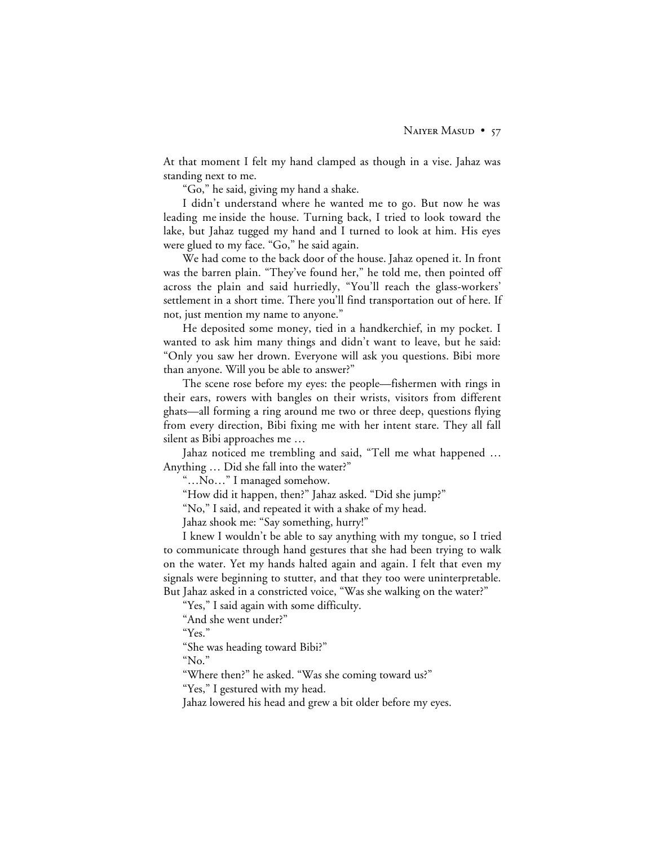At that moment I felt my hand clamped as though in a vise. Jahaz was standing next to me.

"Go," he said, giving my hand a shake.

I didn't understand where he wanted me to go. But now he was leading me inside the house. Turning back, I tried to look toward the lake, but Jahaz tugged my hand and I turned to look at him. His eyes were glued to my face. "Go," he said again.

We had come to the back door of the house. Jahaz opened it. In front was the barren plain. "They've found her," he told me, then pointed off across the plain and said hurriedly, "You'll reach the glass-workers' settlement in a short time. There you'll find transportation out of here. If not, just mention my name to anyone."

He deposited some money, tied in a handkerchief, in my pocket. I wanted to ask him many things and didn't want to leave, but he said: "Only you saw her drown. Everyone will ask you questions. Bibi more than anyone. Will you be able to answer?"

The scene rose before my eyes: the people—fishermen with rings in their ears, rowers with bangles on their wrists, visitors from different ghats—all forming a ring around me two or three deep, questions flying from every direction, Bibi fixing me with her intent stare. They all fall silent as Bibi approaches me …

Jahaz noticed me trembling and said, "Tell me what happened … Anything … Did she fall into the water?"

"…No…" I managed somehow.

"How did it happen, then?" Jahaz asked. "Did she jump?"

"No," I said, and repeated it with a shake of my head.

Jahaz shook me: "Say something, hurry!"

I knew I wouldn't be able to say anything with my tongue, so I tried to communicate through hand gestures that she had been trying to walk on the water. Yet my hands halted again and again. I felt that even my signals were beginning to stutter, and that they too were uninterpretable. But Jahaz asked in a constricted voice, "Was she walking on the water?"

"Yes," I said again with some difficulty.

"And she went under?"

"Yes."

"She was heading toward Bibi?"

"No."

"Where then?" he asked. "Was she coming toward us?"

"Yes," I gestured with my head.

Jahaz lowered his head and grew a bit older before my eyes.